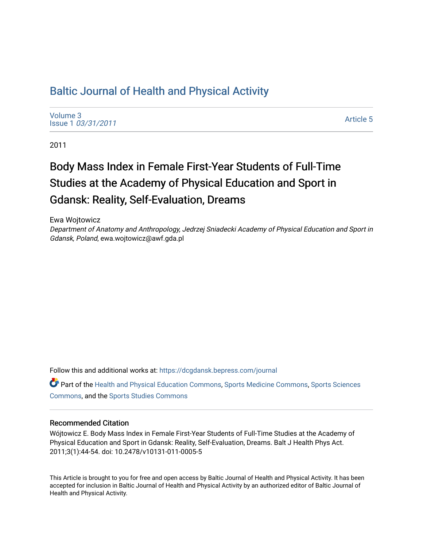# [Baltic Journal of Health and Physical Activity](https://dcgdansk.bepress.com/journal)

[Volume 3](https://dcgdansk.bepress.com/journal/vol3) Issue 1 [03/31/2011](https://dcgdansk.bepress.com/journal/vol3/iss1)

[Article 5](https://dcgdansk.bepress.com/journal/vol3/iss1/5) 

2011

# Body Mass Index in Female First-Year Students of Full-Time Studies at the Academy of Physical Education and Sport in Gdansk: Reality, Self-Evaluation, Dreams

Ewa Wojtowicz Department of Anatomy and Anthropology, Jedrzej Sniadecki Academy of Physical Education and Sport in Gdansk, Poland, ewa.wojtowicz@awf.gda.pl

Follow this and additional works at: [https://dcgdansk.bepress.com/journal](https://dcgdansk.bepress.com/journal?utm_source=dcgdansk.bepress.com%2Fjournal%2Fvol3%2Fiss1%2F5&utm_medium=PDF&utm_campaign=PDFCoverPages)

Part of the [Health and Physical Education Commons](http://network.bepress.com/hgg/discipline/1327?utm_source=dcgdansk.bepress.com%2Fjournal%2Fvol3%2Fiss1%2F5&utm_medium=PDF&utm_campaign=PDFCoverPages), [Sports Medicine Commons,](http://network.bepress.com/hgg/discipline/1331?utm_source=dcgdansk.bepress.com%2Fjournal%2Fvol3%2Fiss1%2F5&utm_medium=PDF&utm_campaign=PDFCoverPages) [Sports Sciences](http://network.bepress.com/hgg/discipline/759?utm_source=dcgdansk.bepress.com%2Fjournal%2Fvol3%2Fiss1%2F5&utm_medium=PDF&utm_campaign=PDFCoverPages) [Commons](http://network.bepress.com/hgg/discipline/759?utm_source=dcgdansk.bepress.com%2Fjournal%2Fvol3%2Fiss1%2F5&utm_medium=PDF&utm_campaign=PDFCoverPages), and the [Sports Studies Commons](http://network.bepress.com/hgg/discipline/1198?utm_source=dcgdansk.bepress.com%2Fjournal%2Fvol3%2Fiss1%2F5&utm_medium=PDF&utm_campaign=PDFCoverPages) 

#### Recommended Citation

Wójtowicz E. Body Mass Index in Female First-Year Students of Full-Time Studies at the Academy of Physical Education and Sport in Gdansk: Reality, Self-Evaluation, Dreams. Balt J Health Phys Act. 2011;3(1):44-54. doi: 10.2478/v10131-011-0005-5

This Article is brought to you for free and open access by Baltic Journal of Health and Physical Activity. It has been accepted for inclusion in Baltic Journal of Health and Physical Activity by an authorized editor of Baltic Journal of Health and Physical Activity.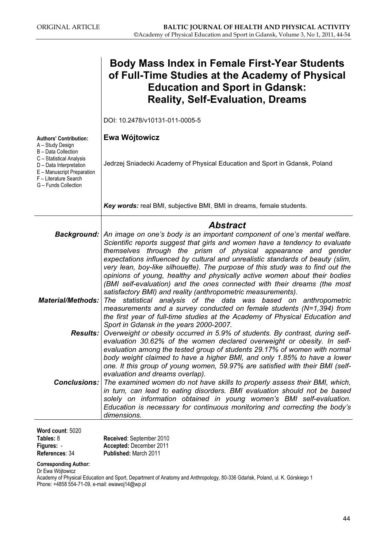|                                                                                                                                    | <b>Body Mass Index in Female First-Year Students</b><br>of Full-Time Studies at the Academy of Physical<br><b>Education and Sport in Gdansk:</b><br><b>Reality, Self-Evaluation, Dreams</b>                                                                                                                                                                                                                                                                 |
|------------------------------------------------------------------------------------------------------------------------------------|-------------------------------------------------------------------------------------------------------------------------------------------------------------------------------------------------------------------------------------------------------------------------------------------------------------------------------------------------------------------------------------------------------------------------------------------------------------|
|                                                                                                                                    | DOI: 10.2478/v10131-011-0005-5                                                                                                                                                                                                                                                                                                                                                                                                                              |
| <b>Authors' Contribution:</b><br>A - Study Design<br>B - Data Collection                                                           | Ewa Wójtowicz                                                                                                                                                                                                                                                                                                                                                                                                                                               |
| C - Statistical Analysis<br>D - Data Interpretation<br>E - Manuscript Preparation<br>F - Literature Search<br>G - Funds Collection | Jedrzej Sniadecki Academy of Physical Education and Sport in Gdansk, Poland                                                                                                                                                                                                                                                                                                                                                                                 |
|                                                                                                                                    | Key words: real BMI, subjective BMI, BMI in dreams, female students.                                                                                                                                                                                                                                                                                                                                                                                        |
| <b>Background:</b>                                                                                                                 | <b>Abstract</b><br>An image on one's body is an important component of one's mental welfare.<br>Scientific reports suggest that girls and women have a tendency to evaluate                                                                                                                                                                                                                                                                                 |
|                                                                                                                                    | themselves through the prism of physical appearance and gender<br>expectations influenced by cultural and unrealistic standards of beauty (slim,<br>very lean, boy-like silhouette). The purpose of this study was to find out the<br>opinions of young, healthy and physically active women about their bodies<br>(BMI self-evaluation) and the ones connected with their dreams (the most<br>satisfactory BMI) and reality (anthropometric measurements). |
| <b>Material/Methods:</b>                                                                                                           | statistical analysis of the data was based on anthropometric<br>The<br>measurements and a survey conducted on female students $(N=1,394)$ from<br>the first year of full-time studies at the Academy of Physical Education and<br>Sport in Gdansk in the years 2000-2007.                                                                                                                                                                                   |
| Results:                                                                                                                           | Overweight or obesity occurred in 5.9% of students. By contrast, during self-<br>evaluation 30.62% of the women declared overweight or obesity. In self-<br>evaluation among the tested group of students 29.17% of women with normal<br>body weight claimed to have a higher BMI, and only 1.85% to have a lower<br>one. It this group of young women, 59.97% are satisfied with their BMI (self-                                                          |
| Conclusions:                                                                                                                       | evaluation and dreams overlap).<br>The examined women do not have skills to properly assess their BMI, which,<br>in turn, can lead to eating disorders. BMI evaluation should not be based<br>solely on information obtained in young women's BMI self-evaluation.<br>Education is necessary for continuous monitoring and correcting the body's<br>dimensions.                                                                                             |

Word count: 5020 Tables: 8 Figures: -

Received: September 2010 Accepted: December 2011 Published: March 2011

Corresponding Author:

Dr Ewa Wójtowicz

References: 34

Academy of Physical Education and Sport, Department of Anatomy and Anthropology, 80-336 Gdańsk, Poland, ul. K. Górskiego 1 Phone: +4858 554-71-09, e-mail: ewawoj14@wp.pl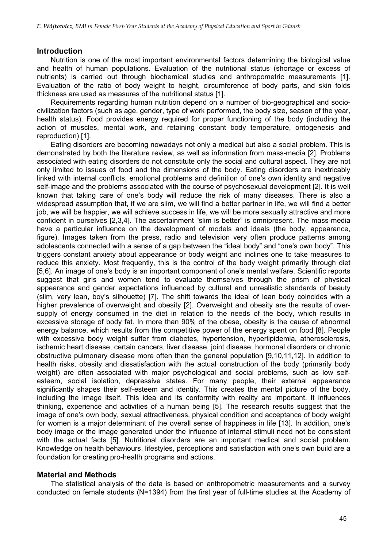## **Introduction**

Nutrition is one of the most important environmental factors determining the biological value and health of human populations. Evaluation of the nutritional status (shortage or excess of nutrients) is carried out through biochemical studies and anthropometric measurements [1]. Evaluation of the ratio of body weight to height, circumference of body parts, and skin folds thickness are used as measures of the nutritional status [1].

Requirements regarding human nutrition depend on a number of bio-geographical and sociocivilization factors (such as age, gender, type of work performed, the body size, season of the year, health status). Food provides energy required for proper functioning of the body (including the action of muscles, mental work, and retaining constant body temperature, ontogenesis and reproduction) [1].

Eating disorders are becoming nowadays not only a medical but also a social problem. This is demonstrated by both the literature review, as well as information from mass-media [2]. Problems associated with eating disorders do not constitute only the social and cultural aspect. They are not only limited to issues of food and the dimensions of the body. Eating disorders are inextricably linked with internal conflicts, emotional problems and definition of one's own identity and negative self-image and the problems associated with the course of psychosexual development [2]. It is well known that taking care of one's body will reduce the risk of many diseases. There is also a widespread assumption that, if we are slim, we will find a better partner in life, we will find a better job, we will be happier, we will achieve success in life, we will be more sexually attractive and more confident in ourselves [2,3,4]. The ascertainment "slim is better" is omnipresent. The mass-media have a particular influence on the development of models and ideals (the body, appearance, figure). Images taken from the press, radio and television very often produce patterns among adolescents connected with a sense of a gap between the "ideal body" and "one's own body". This triggers constant anxiety about appearance or body weight and inclines one to take measures to reduce this anxiety. Most frequently, this is the control of the body weight primarily through diet [5,6]. An image of one's body is an important component of one's mental welfare. Scientific reports suggest that girls and women tend to evaluate themselves through the prism of physical appearance and gender expectations influenced by cultural and unrealistic standards of beauty (slim, very lean, boy's silhouette) [7]. The shift towards the ideal of lean body coincides with a higher prevalence of overweight and obesity [2]. Overweight and obesity are the results of oversupply of energy consumed in the diet in relation to the needs of the body, which results in excessive storage of body fat. In more than 90% of the obese, obesity is the cause of abnormal energy balance, which results from the competitive power of the energy spent on food [8]. People with excessive body weight suffer from diabetes, hypertension, hyperlipidemia, atherosclerosis, ischemic heart disease, certain cancers, liver disease, joint disease, hormonal disorders or chronic obstructive pulmonary disease more often than the general population [9,10,11,12]. In addition to health risks, obesity and dissatisfaction with the actual construction of the body (primarily body weight) are often associated with major psychological and social problems, such as low selfesteem, social isolation, depressive states. For many people, their external appearance significantly shapes their self-esteem and identity. This creates the mental picture of the body, including the image itself. This idea and its conformity with reality are important. It influences thinking, experience and activities of a human being [5]. The research results suggest that the image of one's own body, sexual attractiveness, physical condition and acceptance of body weight for women is a major determinant of the overall sense of happiness in life [13]. In addition, one's body image or the image generated under the influence of internal stimuli need not be consistent with the actual facts [5]. Nutritional disorders are an important medical and social problem. Knowledge on health behaviours, lifestyles, perceptions and satisfaction with one's own build are a foundation for creating pro-health programs and actions.

# Material and Methods

The statistical analysis of the data is based on anthropometric measurements and a survey conducted on female students (N=1394) from the first year of full-time studies at the Academy of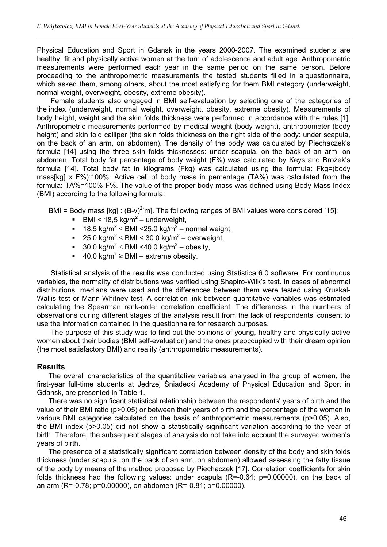Physical Education and Sport in Gdansk in the years 2000-2007. The examined students are healthy, fit and physically active women at the turn of adolescence and adult age. Anthropometric measurements were performed each year in the same period on the same person. Before proceeding to the anthropometric measurements the tested students filled in a questionnaire, which asked them, among others, about the most satisfying for them BMI category (underweight, normal weight, overweight, obesity, extreme obesity).

Female students also engaged in BMI self-evaluation by selecting one of the categories of the index (underweight, normal weight, overweight, obesity, extreme obesity). Measurements of body height, weight and the skin folds thickness were performed in accordance with the rules [1]. Anthropometric measurements performed by medical weight (body weight), anthropometer (body height) and skin fold calliper (the skin folds thickness on the right side of the body: under scapula, on the back of an arm, on abdomen). The density of the body was calculated by Piechaczek's formula [14] using the three skin folds thicknesses: under scapula, on the back of an arm, on abdomen. Total body fat percentage of body weight (F%) was calculated by Keys and Brożek's formula [14]. Total body fat in kilograms (Fkg) was calculated using the formula: Fkg=(body mass[kg] x F%):100%. Active cell of body mass in percentage (TA%) was calculated from the formula: TA%=100%-F%. The value of the proper body mass was defined using Body Mass Index (BMI) according to the following formula:

BMI = Body mass [kg] :  $(B-v)^2[m]$ . The following ranges of BMI values were considered [15]:

- $\blacksquare$  BMI < 18,5 kg/m<sup>2</sup> underweight,
- 18.5 kg/m<sup>2</sup>  $\leq$  BMI <25.0 kg/m<sup>2</sup> normal weight,
- 25.0 kg/m<sup>2</sup>  $\leq$  BMI < 30.0 kg/m<sup>2</sup> overweight,
- 30.0 kg/m<sup>2</sup>  $\leq$  BMI <40.0 kg/m<sup>2</sup> obesity,
- 40.0 kg/m<sup>2</sup> ≥ BMI extreme obesity.

Statistical analysis of the results was conducted using Statistica 6.0 software. For continuous variables, the normality of distributions was verified using Shapiro-Wilk's test. In cases of abnormal distributions, medians were used and the differences between them were tested using Kruskal-Wallis test or Mann-Whitney test. A correlation link between quantitative variables was estimated calculating the Spearman rank-order correlation coefficient. The differences in the numbers of observations during different stages of the analysis result from the lack of respondents' consent to use the information contained in the questionnaire for research purposes.

The purpose of this study was to find out the opinions of young, healthy and physically active women about their bodies (BMI self-evaluation) and the ones preoccupied with their dream opinion (the most satisfactory BMI) and reality (anthropometric measurements).

## Results

The overall characteristics of the quantitative variables analysed in the group of women, the first-year full-time students at Jedrzej Śniadecki Academy of Physical Education and Sport in Gdansk, are presented in Table 1.

There was no significant statistical relationship between the respondents' years of birth and the value of their BMI ratio (p>0.05) or between their years of birth and the percentage of the women in various BMI categories calculated on the basis of anthropometric measurements (p>0.05). Also, the BMI index (p>0.05) did not show a statistically significant variation according to the year of birth. Therefore, the subsequent stages of analysis do not take into account the surveyed women's years of birth.

The presence of a statistically significant correlation between density of the body and skin folds thickness (under scapula, on the back of an arm, on abdomen) allowed assessing the fatty tissue of the body by means of the method proposed by Piechaczek [17]. Correlation coefficients for skin folds thickness had the following values: under scapula (R=-0.64; p=0.00000), on the back of an arm (R=-0.78; p=0.00000), on abdomen (R=-0.81; p=0.00000).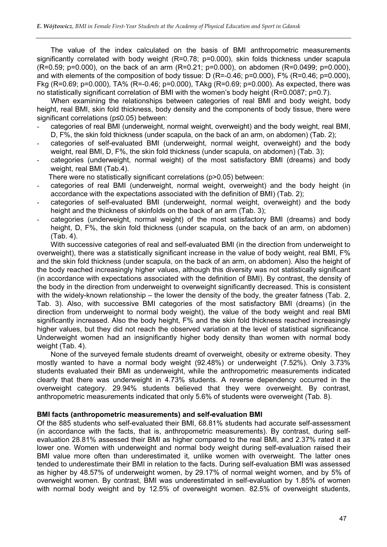The value of the index calculated on the basis of BMI anthropometric measurements significantly correlated with body weight (R=0.78; p=0.000), skin folds thickness under scapula (R=0.59; p=0.000), on the back of an arm (R=0.21; p=0.000), on abdomen (R=0.0499; p=0.000), and with elements of the composition of body tissue: D (R=-0.46; p=0.000), F% (R=0.46; p=0.000), Fkg (R=0.69; p=0.000), TA% (R=-0.46; p=0.000), TAkg (R=0.69; p=0.000). As expected, there was no statistically significant correlation of BMI with the women's body height (R=0.0087; p=0.7).

When examining the relationships between categories of real BMI and body weight, body height, real BMI, skin fold thickness, body density and the components of body tissue, there were significant correlations (p≤0.05) between:

- categories of real BMI (underweight, normal weight, overweight) and the body weight, real BMI, D, F%, the skin fold thickness (under scapula, on the back of an arm, on abdomen) (Tab. 2);
- categories of self-evaluated BMI (underweight, normal weight, overweight) and the body weight, real BMI, D, F%, the skin fold thickness (under scapula, on abdomen) (Tab. 3);
- categories (underweight, normal weight) of the most satisfactory BMI (dreams) and body weight, real BMI (Tab.4).

There were no statistically significant correlations (p>0.05) between:

- categories of real BMI (underweight, normal weight, overweight) and the body height (in accordance with the expectations associated with the definition of BMI) (Tab. 2);
- categories of self-evaluated BMI (underweight, normal weight, overweight) and the body height and the thickness of skinfolds on the back of an arm (Tab. 3);
- categories (underweight, normal weight) of the most satisfactory BMI (dreams) and body height, D, F%, the skin fold thickness (under scapula, on the back of an arm, on abdomen) (Tab. 4).

With successive categories of real and self-evaluated BMI (in the direction from underweight to overweight), there was a statistically significant increase in the value of body weight, real BMI, F% and the skin fold thickness (under scapula, on the back of an arm, on abdomen). Also the height of the body reached increasingly higher values, although this diversity was not statistically significant (in accordance with expectations associated with the definition of BMI). By contrast, the density of the body in the direction from underweight to overweight significantly decreased. This is consistent with the widely-known relationship – the lower the density of the body, the greater fatness (Tab. 2, Tab. 3). Also, with successive BMI categories of the most satisfactory BMI (dreams) (in the direction from underweight to normal body weight), the value of the body weight and real BMI significantly increased. Also the body height, F% and the skin fold thickness reached increasingly higher values, but they did not reach the observed variation at the level of statistical significance. Underweight women had an insignificantly higher body density than women with normal body weight (Tab. 4).

None of the surveyed female students dreamt of overweight, obesity or extreme obesity. They mostly wanted to have a normal body weight (92.48%) or underweight (7.52%). Only 3.73% students evaluated their BMI as underweight, while the anthropometric measurements indicated clearly that there was underweight in 4.73% students. A reverse dependency occurred in the overweight category. 29.94% students believed that they were overweight. By contrast, anthropometric measurements indicated that only 5.6% of students were overweight (Tab. 8).

# BMI facts (anthropometric measurements) and self-evaluation BMI

Of the 885 students who self-evaluated their BMI, 68.81% students had accurate self-assessment (in accordance with the facts, that is, anthropometric measurements). By contrast, during selfevaluation 28.81% assessed their BMI as higher compared to the real BMI, and 2.37% rated it as lower one. Women with underweight and normal body weight during self-evaluation raised their BMI value more often than underestimated it, unlike women with overweight. The latter ones tended to underestimate their BMI in relation to the facts. During self-evaluation BMI was assessed as higher by 48.57% of underweight women, by 29.17% of normal weight women, and by 5% of overweight women. By contrast, BMI was underestimated in self-evaluation by 1.85% of women with normal body weight and by 12.5% of overweight women. 82.5% of overweight students,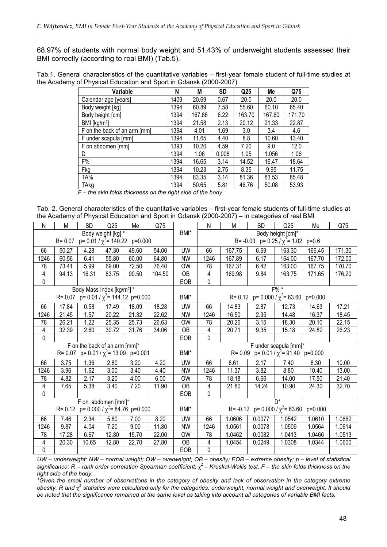68.97% of students with normal body weight and 51.43% of underweight students assessed their BMI correctly (according to real BMI) (Tab.5).

Tab.1. General characteristics of the quantitative variables – first-year female student of full-time studies at the Academy of Physical Education and Sport in Gdansk (2000-2007)

| Variable                     | N    | M      | <b>SD</b> | Q <sub>25</sub> | Me     | Q75    |
|------------------------------|------|--------|-----------|-----------------|--------|--------|
| Calendar age [years]         | 1409 | 20.69  | 0.67      | 20.0            | 20.0   | 20.0   |
| Body weight [kg]             | 1394 | 60.89  | 7.58      | 55.60           | 60.10  | 65.40  |
| Body height [cm]             | 1394 | 167.86 | 6.22      | 163.70          | 167.60 | 171.70 |
| BMI [kg/m <sup>2</sup> ]     | 1394 | 21.58  | 2.13      | 20.12           | 21.33  | 22.87  |
| F on the back of an arm [mm] | 1394 | 4.01   | 1.69      | 3.0             | 3.4    | 4.6    |
| F under scapula [mm]         | 1394 | 11.65  | 4.40      | 8.8             | 10.60  | 13.40  |
| F on abdomen [mm]            | 1393 | 10.20  | 4.59      | 7.20            | 9.0    | 12.0   |
| D                            | 1394 | 1.06   | 0.008     | 1.05            | 1.056  | 1.06   |
| F%                           | 1394 | 16.65  | 3.14      | 14.52           | 16.47  | 18.64  |
| Fkg                          | 1394 | 10.23  | 2.75      | 8.35            | 9.95   | 11.75  |
| TA%                          | 1394 | 83.35  | 3.14      | 81.36           | 83.53  | 85.48  |
| TAkg                         | 1394 | 50.65  | 5.81      | 46.76           | 50.08  | 53.93  |

 $\overline{F}$  – the skin folds thickness on the right side of the body

Tab. 2. General characteristics of the quantitative variables – first-year female students of full-time studies at the Academy of Physical Education and Sport in Gdansk (2000-2007) – in categories of real BMI

| N                                                 | M          | <b>SD</b> | Q <sub>25</sub>                                      | Me                                          | Q75    |            | N                 | M                                    | <b>SD</b> | Q <sub>25</sub>                             | Me      | Q75    |
|---------------------------------------------------|------------|-----------|------------------------------------------------------|---------------------------------------------|--------|------------|-------------------|--------------------------------------|-----------|---------------------------------------------|---------|--------|
| Body weight [kg] *                                |            |           |                                                      |                                             | BMI*   |            | Body height [cm]* |                                      |           |                                             |         |        |
|                                                   | $R = 0.07$ |           |                                                      | $p= 0.01 / \chi^2 = 140.22 \quad p=0.000$   |        |            |                   |                                      |           | R= -0.03 p= 0.25 / $\chi^2$ = 1.02          | $p=0.6$ |        |
| 66                                                | 50.27      | 4.28      | 47.30                                                | 49.60                                       | 54.00  | <b>UW</b>  | 66                | 167.75                               | 6.69      | 163.30                                      | 166.45  | 171.30 |
| 1246                                              | 60.56      | 6.41      | 55.80                                                | 60.00                                       | 64.80  | <b>NW</b>  | 1246              | 167.89                               | 6.17      | 164.00                                      | 167.70  | 172.00 |
| 78                                                | 73.41      | 5.99      | 69.00                                                | 72.50                                       | 76.40  | <b>OW</b>  | 78                | 167.31                               | 6.42      | 163.00                                      | 167.75  | 170.70 |
| 4                                                 | 94.13      | 16.31     | 83.75                                                | 90.50                                       | 104.50 | <b>OB</b>  | 4                 | 169.98                               | 9.84      | 163.75                                      | 171.65  | 176.20 |
| 0                                                 |            |           |                                                      |                                             |        | EOB        | 0                 |                                      |           |                                             |         |        |
|                                                   |            |           | Body Mass Index [kg/m <sup>2]</sup> *                |                                             |        |            |                   |                                      |           | $F%$ *                                      |         |        |
|                                                   |            |           |                                                      | R= 0.07 p= 0.01 / $\chi^2$ = 144.12 p=0.000 |        | BMI*       |                   |                                      |           | R= 0.12 $p= 0.000 / \chi^2 = 63.60 p=0.000$ |         |        |
| 66                                                | 17.84      | 0.58      | 17.49                                                | 18.09                                       | 18.28  | <b>UW</b>  | 66                | 14.83                                | 2.87      | 12.73                                       | 14.63   | 17.21  |
| 1246                                              | 21.45      | 1.57      | 20.22                                                | 21.32                                       | 22.62  | <b>NW</b>  | 1246              | 16.50                                | 2.95      | 14.48                                       | 16.37   | 18.45  |
| 78                                                | 26.21      | 1.22      | 25.35                                                | 25.73                                       | 26.63  | <b>OW</b>  | 78                | 20.26                                | 3.15      | 18.30                                       | 20.10   | 22.15  |
| 4                                                 | 32.39      | 2.60      | 30.72                                                | 31.76                                       | 34.06  | <b>OB</b>  | 4                 | 20.71                                | 9.35      | 15.18                                       | 24.82   | 26.23  |
| 0                                                 |            |           |                                                      |                                             |        | EOB        | 0                 |                                      |           |                                             |         |        |
|                                                   |            |           | $\overline{F}$ on the back of an arm $\text{[mm]}^*$ |                                             |        |            |                   | F under scapula [mm]*                |           |                                             |         |        |
|                                                   |            |           |                                                      | R= 0.07 p= 0.01 / $\chi^2$ = 13.09 p=0.001  |        | BMI*       |                   | $R = 0.09$                           |           | $p = 0.01 / \chi^2 = 91.40$ p=0.000         |         |        |
| 66                                                | 3.75       | 1.36      | 2.80                                                 | 3.20                                        | 4.20   | UW         | 66                | 8.61                                 | 2.17      | 7.40                                        | 8.30    | 10.00  |
| 1246                                              | 3.96       | 1.62      | 3.00                                                 | 3.40                                        | 4.40   | <b>NW</b>  | 1246              | 11.37                                | 3.82      | 8.80                                        | 10.40   | 13.00  |
| 78                                                | 4.82       | 2.17      | 3.20                                                 | 4.00                                        | 6.00   | <b>OW</b>  | 78                | 18.18                                | 6.66      | 14.00                                       | 17.50   | 21.40  |
| 4                                                 | 7.65       | 5.38      | 3.40                                                 | 7.20                                        | 11.90  | <b>OB</b>  | 4                 | 21.80                                | 14.24     | 10.90                                       | 24.30   | 32.70  |
| 0                                                 |            |           |                                                      |                                             |        | EOB        | 0                 |                                      |           |                                             |         |        |
|                                                   |            |           | F on abdomen [mm]*                                   |                                             |        |            |                   |                                      |           | D <sup>*</sup>                              |         |        |
| $p= 0.000 / \chi^2 = 84.76 p=0.000$<br>$R = 0.12$ |            |           |                                                      | BMI*                                        |        |            |                   | R= -0.12 $p= 0.000 / \chi^2 = 63.60$ | p=0.000   |                                             |         |        |
| 66                                                | 7.46       | 2.34      | 5.80                                                 | 7.00                                        | 8.20   | <b>UW</b>  | 66                | 1.0606                               | 0.0077    | 1.0542                                      | 1.0610  | 1.0662 |
| 1246                                              | 9.87       | 4.04      | 7.20                                                 | 9.00                                        | 11.80  | <b>NW</b>  | 1246              | 1.0561                               | 0.0078    | 1.0509                                      | 1.0564  | 1.0614 |
| 78                                                | 17.28      | 6.67      | 12.80                                                | 15.70                                       | 22.00  | <b>OW</b>  | 78                | 1.0462                               | 0.0082    | 1.0413                                      | 1.0466  | 1.0513 |
| 4                                                 | 20.30      | 10.65     | 12.80                                                | 22.70                                       | 27.80  | <b>OB</b>  | 4                 | 1.0454                               | 0.0249    | 1.0308                                      | 1.0344  | 1.0600 |
| $\pmb{0}$                                         |            |           |                                                      |                                             |        | <b>EOB</b> | 0                 |                                      |           |                                             |         |        |

UW – underweight; NW – normal weight; OW – overweight; OB – obesity; EOB – extreme obesity; p – level of statistical significance; R – rank order correlation Spearman coefficient;  $\chi^2$  – Kruskal-Wallis test; F – the skin folds thickness on the right side of the body.

\*Given the small number of observations in the category of obesity and lack of observation in the category extreme obesity, R and  $\chi^2$  statistics were calculated only for the categories: underweight, normal weight and overweight. It should be noted that the significance remained at the same level as taking into account all categories of variable BMI facts.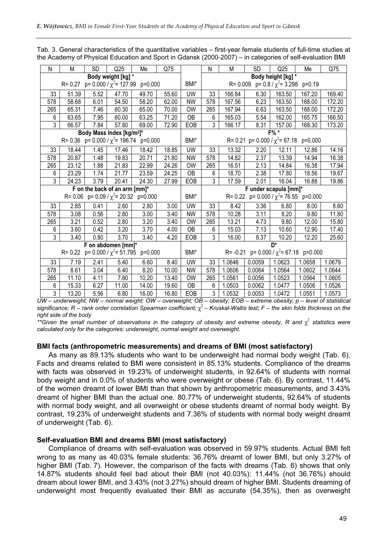N | M | SD | Q25 | Me | Q75 | | N | M | SD | Q25 | Me | Q75 Body weight [kg]  $R = 0.27$  p= 0.000 /  $\chi^2 = 127.99$  p=0.000 | BMI\* Body height [kg] R= 0.009  $p= 0.8 / \chi^2 = 3.298$   $p=0.19$ 33 | 51.39 | 5.52 | 47.70 | 49.70 | 55.60 | UW | 33 | 166.84 | 6.30 | 163.50 | 167.20 | 169.40 578 | 58.68 | 6.01 | 54.50 | 58.20 | 62.00 | NW | 578 | 167.56 | 6.23 | 163.50 | 168.00 | 172.20 265 | 65.31 | 7.46 | 60.30 | 65.00 | 70.00 | OW | 265 | 167.94 | 6.63 | 163.50 | 168.00 | 172.20 6 | 63.65 | 7.95 | 60.00 | 63.25 | 71.20 | OB | 6 | 165.03 | 5.54 | 162.00 | 165.75 | 166.50 3 | 66.57 | 7.84 | 57.80 | 69.00 | 72.90 | EOB | 3 | 166.17 | 8.31 | 157.00 | 168.30 | 173.20 Body Mass Index [kg/m<sup>2</sup>]\* R= 0.36  $p= 0.000 / \chi^2 = 196.74$   $p=0.000$  BMI\* F% \* R= 0.21  $p= 0.000 / \chi^2 = 67.18$   $p=0.000$ 33 | 18.44 | 1.45 | 17.46 | 18.42 | 18.85 | UW | 33 | 13.32 | 2.20 | 12.11 | 12.86 | 14.16 578 20.87 1.48 19.83 20.71 21.80 NW 578 14.82 2.37 13.39 14.94 16.38 265 | 23.12 | 1.88 | 21.83 | 22.99 | 24.26 | OW | 265 | 16.51 | 2.13 | 14.84 | 16.38 | 17.94 6 | 23.29 | 1.74 | 21.77 | 23.59 | 24.25 | OB | 6 | 18.70 | 2.38 | 17.80 | 18.56 | 19.67 3 | 24.23 | 3.79 | 20.41 | 24.30 | 27.99 | EOB | 3 | 17.59 | 2.01 | 16.04 | 16.88 | 19.86 F on the back of an arm [mm]\* R= 0.06  $p= 0.09 / \chi^2 = 20.32 \text{ p} = 0.000$  BMI\* F under scapula [mm]\* R= 0.22  $p= 0.000 / \chi^2 = 76.55 p=0.000$ 33 | 2.85 | 0.41 | 2.60 | 2.80 | 3.00 | UW | 33 | 8.42 | 3.36 | 6.80 | 8.00 | 8.60 578 | 3.08 | 0.56 | 2.80 | 3.00 | 3.40 | NW | 578 | 10.28 | 3.11 | 8.20 | 9.80 | 11.80 265 | 3.21 | 0.52 | 2.80 | 3.20 | 3.40 | OW | 265 | 13.21 | 4.73 | 9.80 | 12.00 | 15.80 6 3.60 0.42 3.20 3.70 4.00 OB 6 15.03 7.13 10.60 12.90 17.40 3 | 3.40 | 0.80 | 3.70 | 3.40 | 4.20 | EOB | 3 | 16.00 | 8.37 | 10.20 | 12.20 | 25.60 F on abdomen [mm]<sup>\*</sup>  $R = 0.22$  p= 0.000 /  $\chi^2 = 51.795$  p=0.000 BMI\* D\* R= -0.21  $p= 0.000 / \chi^2 = 67.18$   $p=0.000$ 33 | 7.19 | 2.41 | 5.40 | 6.60 | 8.40 | UW | 33 |1.0646 |0.0059 |1.0623 |1.0658 |1.0679 578 8.61 3.04 6.40 8.20 10.00 NW 578 1.0606 0.0064 1.0564 1.0602 1.0644 265 | 11.10 | 4.11 | 7.80 | 10.20 | 13.40 | OW | 265 | 1.0561 | 0.0056 | 1.0523 | 1.0564 | 1.0605 6 | 15.33 | 6.27 | 11.00 | 14.00 | 19.60 | OB | 6 | 1.0503 | 0.0062 | 1.0477 | 1.0506 | 1.0526 3 | 13.20 | 5.56 | 6.80 | 16.00 | 16.80 | EOB | 3 | 1.0532 | 0.0053 | 1.0472 | 1.0551 | 1.0573

Tab. 3. General characteristics of the quantitative variables – first-year female students of full-time studies at the Academy of Physical Education and Sport in Gdansk (2000-2007) – in categories of self-evaluation BMI

UW – underweight; NW – normal weight; OW – overweight; OB – obesity; EOB – extreme obesity; p – level of statistical significance;  $R$  – rank order correlation Spearman coefficient;  $\chi^2$  – Kruskal-Wallis test; F – the skin folds thickness on the right side of the body

\*\*Given the small number of observations in the category of obesity and extreme obesity, R and  $\chi^2$  statistics were calculated only for the categories: underweight, normal weight and overweight.

### BMI facts (anthropometric measurements) and dreams of BMI (most satisfactory)

As many as 89.13% students who want to be underweight had normal body weight (Tab. 6). Facts and dreams related to BMI were consistent in 85.13% students. Compliance of the dreams with facts was observed in 19.23% of underweight students, in 92.64% of students with normal body weight and in 0.0% of students who were overweight or obese (Tab. 6). By contrast, 11.44% of the women dreamt of lower BMI than that shown by anthropometric measurements, and 3.43% dreamt of higher BMI than the actual one. 80.77% of underweight students, 92.64% of students with normal body weight, and all overweight or obese students dreamt of normal body weight. By contrast, 19.23% of underweight students and 7.36% of students with normal body weight dreamt of underweight (Tab. 6).

### Self-evaluation BMI and dreams BMI (most satisfactory)

Compliance of dreams with self-evaluation was observed in 59.97% students. Actual BMI felt wrong to as many as 40.03% female students: 36.76% dreamt of lower BMI, but only 3.27% of higher BMI (Tab. 7). However, the comparison of the facts with dreams (Tab. 6) shows that only 14.87% students should feel bad about their BMI (not 40.03%): 11.44% (not 36.76%) should dream about lower BMI, and 3.43% (not 3.27%) should dream of higher BMI. Students dreaming of underweight most frequently evaluated their BMI as accurate (54.35%), then as overweight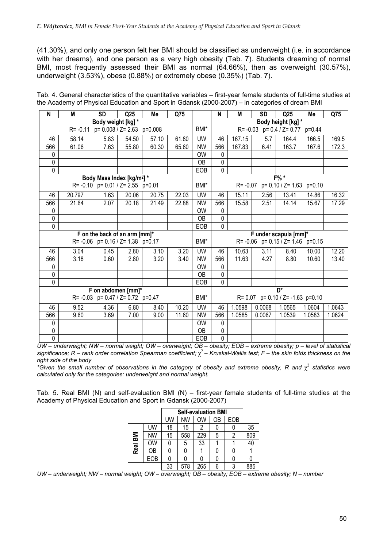(41.30%), and only one person felt her BMI should be classified as underweight (i.e. in accordance with her dreams), and one person as a very high obesity (Tab. 7). Students dreaming of normal BMI, most frequently assessed their BMI as normal (64.66%), then as overweight (30.57%), underweight (3.53%), obese (0.88%) or extremely obese (0.35%) (Tab. 7).

| N           | M                  | <b>SD</b>                              | Q <sub>25</sub> | Me    | Q75   |           | N                                            | M      | SD     | Q <sub>25</sub>                           | Me     | Q75    |
|-------------|--------------------|----------------------------------------|-----------------|-------|-------|-----------|----------------------------------------------|--------|--------|-------------------------------------------|--------|--------|
|             | Body weight [kg] * |                                        |                 |       |       |           |                                              |        |        | Body height [kg] *                        |        |        |
|             |                    | R=-0.11 p= 0.008 / Z= 2.63 p=0.008     |                 |       |       | BMI*      | $R = -0.03$ $p = 0.4 / Z = 0.77$<br>$p=0.44$ |        |        |                                           |        |        |
| 46          | 58.14              | 5.83                                   | 54.50           | 57.10 | 61.80 | <b>UW</b> | 46                                           | 167.15 | 5.7    | 164.4                                     | 166.5  | 169.5  |
| 566         | 61.06              | 7.63                                   | 55.80           | 60.30 | 65.60 | <b>NW</b> | 566                                          | 167.83 | 6.41   | 163.7                                     | 167.6  | 172.3  |
| 0           |                    |                                        |                 |       |       | <b>OW</b> | 0                                            |        |        |                                           |        |        |
| 0           |                    |                                        |                 |       |       | OΒ        | 0                                            |        |        |                                           |        |        |
| $\mathbf 0$ |                    |                                        |                 |       |       | EOB       | $\mathbf 0$                                  |        |        |                                           |        |        |
|             |                    | Body Mass Index [kg/m <sup>2</sup> ] * |                 |       |       |           |                                              |        |        | F% *                                      |        |        |
|             |                    | R= -0.10 p= 0.01 / Z= 2.55 p=0.01      |                 |       |       | BMI*      |                                              |        |        | $R = -0.07$ p= 0.10 / Z= 1.63 p=0.10      |        |        |
| 46          | 20.797             | 1.63                                   | 20.06           | 20.75 | 22.03 | UW        | 46                                           | 15.11  | 2.56   | 13.41                                     | 14.86  | 16.32  |
| 566         | 21.64              | 2.07                                   | 20.18           | 21.49 | 22.88 | <b>NW</b> | 566                                          | 15.58  | 2.51   | 14.14                                     | 15.67  | 17.29  |
| 0           |                    |                                        |                 |       |       | <b>OW</b> | 0                                            |        |        |                                           |        |        |
| 0           |                    |                                        |                 |       |       | OΒ        | $\mathbf 0$                                  |        |        |                                           |        |        |
| 0           |                    |                                        |                 |       |       | EOB       | 0                                            |        |        |                                           |        |        |
|             |                    | F on the back of an arm [mm]*          |                 |       |       |           |                                              |        |        | F under scapula [mm]*                     |        |        |
|             |                    | R= -0.06 p= 0.16 / Z= 1.38 p=0.17      |                 |       |       | BMI*      |                                              |        |        | R= $-0.06$ p= $0.15 / Z = 1.46$ p= $0.15$ |        |        |
| 46          | 3.04               | 0.45                                   | 2.80            | 3.10  | 3.20  | <b>UW</b> | 46                                           | 10.63  | 3.11   | 8.40                                      | 10.00  | 12.20  |
| 566         | 3.18               | 0.60                                   | 2.80            | 3.20  | 3.40  | NW        | 566                                          | 11.63  | 4.27   | 8.80                                      | 10.60  | 13.40  |
| 0           |                    |                                        |                 |       |       | <b>OW</b> | 0                                            |        |        |                                           |        |        |
| 0           |                    |                                        |                 |       |       | OB        | $\pmb{0}$                                    |        |        |                                           |        |        |
| $\mathbf 0$ |                    |                                        |                 |       |       | EOB       | 0                                            |        |        |                                           |        |        |
|             | F on abdomen [mm]* |                                        |                 |       |       |           |                                              |        |        | D*                                        |        |        |
|             |                    | R= -0.03 p= 0.47 / Z= 0.72 p=0.47      |                 |       |       | BMI*      |                                              |        |        | R= 0.07 p= 0.10 / Z= -1.63 p=0.10         |        |        |
| 46          | 9.52               | 4.36                                   | 6.80            | 8.40  | 10.20 | UW        | 46                                           | 1.0598 | 0.0068 | 1.0565                                    | 1.0604 | 1.0643 |
| 566         | 9.60               | 3.69                                   | 7.00            | 9.00  | 11.60 | NW        | 566                                          | 1.0585 | 0.0067 | 1.0539                                    | 1.0583 | 1.0624 |

Tab. 4. General characteristics of the quantitative variables – first-year female students of full-time studies at the Academy of Physical Education and Sport in Gdansk (2000-2007) – in categories of dream BMI

UW – underweight; NW – normal weight; OW – overweight; OB – obesity; EOB – extreme obesity; p – level of statistical significance;  $R$  – rank order correlation Spearman coefficient;  $\chi^2$  – Kruskal-Wallis test; F – the skin folds thickness on the right side of the body

0 | | | | | | | | | | | | 0W | 0 0 | | | | | | | OB | 0 0 | | | | | | | | | EOB | 0

\*Given the small number of observations in the category of obesity and extreme obesity, R and  $\chi^2$  statistics were calculated only for the categories: underweight and normal weight.

Tab. 5. Real BMI (N) and self-evaluation BMI (N) – first-year female students of full-time studies at the Academy of Physical Education and Sport in Gdansk (2000-2007)

| <b>Self-evaluation BMI</b> |           |    |           |     |    |     |     |  |  |
|----------------------------|-----------|----|-----------|-----|----|-----|-----|--|--|
|                            |           | UW | <b>NW</b> | OW  | ОB | EOB |     |  |  |
|                            | UW        | 18 | 15        | 2   |    |     | 35  |  |  |
|                            | <b>NW</b> | 15 | 558       | 229 | 5  |     | 809 |  |  |
| Real BMI                   | <b>OW</b> | 0  | 5         | 33  |    |     | 40  |  |  |
|                            | OΒ        | 0  |           |     |    |     |     |  |  |
|                            | EOB       |    |           |     |    |     |     |  |  |
|                            |           | 33 | 578       | 265 | 6  | 3   | 885 |  |  |

UW – underweight; NW – normal weight; OW – overweight; OB – obesity; EOB – extreme obesity; N – number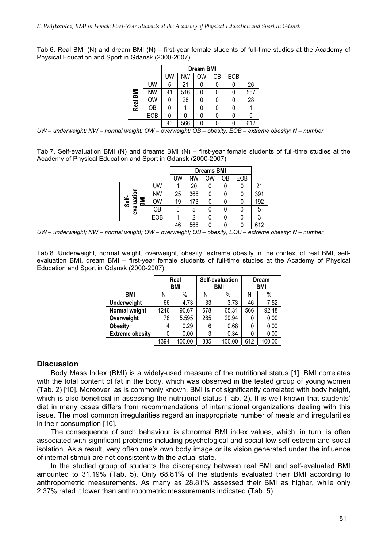Tab.6. Real BMI (N) and dream BMI (N) – first-year female students of full-time studies at the Academy of Physical Education and Sport in Gdansk (2000-2007)

| <b>Dream BMI</b> |           |    |           |    |    |     |     |
|------------------|-----------|----|-----------|----|----|-----|-----|
|                  |           | UW | <b>NW</b> | OW | OB | EOB |     |
|                  | UW        | 5  | 21        |    |    |     | 26  |
| Real BMI         | <b>NW</b> | 41 | 516       | 0  |    |     | 557 |
|                  | <b>OW</b> |    | 28        | 0  |    |     | 28  |
|                  | ОB        | 0  |           | 0  |    |     |     |
|                  | EOB       | ი  |           | 0  |    |     |     |
|                  |           | 46 | 566       | 0  |    | Ω   | 612 |

UW – underweight; NW – normal weight; OW – overweight; OB – obesity; EOB – extreme obesity; N – number

Tab.7. Self-evaluation BMI (N) and dreams BMI (N) – first-year female students of full-time studies at the Academy of Physical Education and Sport in Gdansk (2000-2007)

|                           |           | <b>Dreams BMI</b> |           |    |    |     |     |  |  |  |
|---------------------------|-----------|-------------------|-----------|----|----|-----|-----|--|--|--|
|                           |           | UW                | <b>NW</b> | ОW | OΒ | EOB |     |  |  |  |
| evaluation<br>Self-<br>ВM | UW        |                   | 20        |    |    |     | 21  |  |  |  |
|                           | <b>NW</b> | 25                | 366       |    |    |     | 391 |  |  |  |
|                           | OW        | 19                | 173       |    |    | 0   | 192 |  |  |  |
|                           | ОB        |                   | 5         |    |    |     | 5   |  |  |  |
|                           | EOB       |                   | 2         |    |    |     | 3   |  |  |  |
|                           |           | 46                | 566       |    |    |     | 612 |  |  |  |

UW – underweight; NW – normal weight; OW – overweight; OB – obesity; EOB – extreme obesity; N – number

Tab.8. Underweight, normal weight, overweight, obesity, extreme obesity in the context of real BMI, selfevaluation BMI, dream BMI – first-year female students of full-time studies at the Academy of Physical Education and Sport in Gdansk (2000-2007)

|                        |      | Real<br><b>BMI</b> |     | Self-evaluation<br>BMI | <b>Dream</b><br><b>BMI</b> |        |  |
|------------------------|------|--------------------|-----|------------------------|----------------------------|--------|--|
| <b>BMI</b>             | Ν    | $\%$               |     | $\%$                   | N                          | %      |  |
| <b>Underweight</b>     | 66   | 4.73               | 33  | 3.73                   | 46                         | 7.52   |  |
| Normal weight          | 1246 | 90.67              | 578 | 65.31                  | 566                        | 92.48  |  |
| Overweight             | 78   | 5.595              | 265 | 29.94                  | 0                          | 0.00   |  |
| <b>Obesity</b>         | 4    | 0.29               | 6   | 0.68                   | 0                          | 0.00   |  |
| <b>Extreme obesity</b> | 0    | 0.00               | 3   | 0.34                   | 0                          | 0.00   |  |
|                        | 1394 | 100.00             | 885 | 100.00                 | 612                        | 100.00 |  |

### **Discussion**

Body Mass Index (BMI) is a widely-used measure of the nutritional status [1]. BMI correlates with the total content of fat in the body, which was observed in the tested group of young women (Tab. 2) [10]. Moreover, as is commonly known, BMI is not significantly correlated with body height, which is also beneficial in assessing the nutritional status (Tab. 2). It is well known that students' diet in many cases differs from recommendations of international organizations dealing with this issue. The most common irregularities regard an inappropriate number of meals and irregularities in their consumption [16].

The consequence of such behaviour is abnormal BMI index values, which, in turn, is often associated with significant problems including psychological and social low self-esteem and social isolation. As a result, very often one's own body image or its vision generated under the influence of internal stimuli are not consistent with the actual state.

In the studied group of students the discrepancy between real BMI and self-evaluated BMI amounted to 31.19% (Tab. 5). Only 68.81% of the students evaluated their BMI according to anthropometric measurements. As many as 28.81% assessed their BMI as higher, while only 2.37% rated it lower than anthropometric measurements indicated (Tab. 5).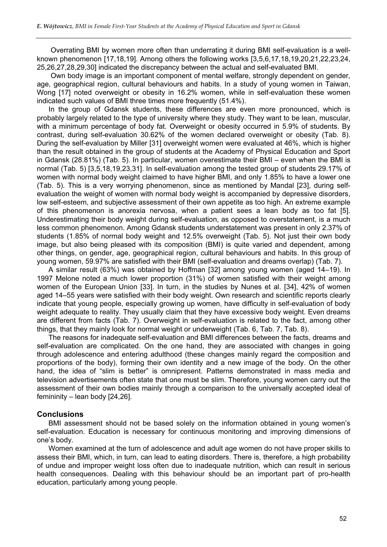Overrating BMI by women more often than underrating it during BMI self-evaluation is a wellknown phenomenon [17,18,19]. Among others the following works [3,5,6,17,18,19,20,21,22,23,24, 25,26,27,28,29,30] indicated the discrepancy between the actual and self-evaluated BMI.

Own body image is an important component of mental welfare, strongly dependent on gender, age, geographical region, cultural behaviours and habits. In a study of young women in Taiwan, Wong [17] noted overweight or obesity in 16.2% women, while in self-evaluation these women indicated such values of BMI three times more frequently (51.4%).

In the group of Gdansk students, these differences are even more pronounced, which is probably largely related to the type of university where they study. They want to be lean, muscular, with a minimum percentage of body fat. Overweight or obesity occurred in 5.9% of students. By contrast, during self-evaluation 30.62% of the women declared overweight or obesity (Tab. 8). During the self-evaluation by Miller [31] overweight women were evaluated at 46%, which is higher than the result obtained in the group of students at the Academy of Physical Education and Sport in Gdansk (28.81%) (Tab. 5). In particular, women overestimate their BMI – even when the BMI is normal (Tab. 5) [3,5,18,19,23,31]. In self-evaluation among the tested group of students 29.17% of women with normal body weight claimed to have higher BMI, and only 1.85% to have a lower one (Tab. 5). This is a very worrying phenomenon, since as mentioned by Mandal [23], during selfevaluation the weight of women with normal body weight is accompanied by depressive disorders, low self-esteem, and subjective assessment of their own appetite as too high. An extreme example of this phenomenon is anorexia nervosa, when a patient sees a lean body as too fat [5]. Underestimating their body weight during self-evaluation, as opposed to overstatement, is a much less common phenomenon. Among Gdansk students understatement was present in only 2.37% of students (1.85% of normal body weight and 12.5% overweight (Tab. 5). Not just their own body image, but also being pleased with its composition (BMI) is quite varied and dependent, among other things, on gender, age, geographical region, cultural behaviours and habits. In this group of young women, 59.97% are satisfied with their BMI (self-evaluation and dreams overlap) (Tab. 7).

A similar result (63%) was obtained by Hoffman [32] among young women (aged 14–19). In 1997 Melone noted a much lower proportion (31%) of women satisfied with their weight among women of the European Union [33]. In turn, in the studies by Nunes et al. [34], 42% of women aged 14–55 years were satisfied with their body weight. Own research and scientific reports clearly indicate that young people, especially growing up women, have difficulty in self-evaluation of body weight adequate to reality. They usually claim that they have excessive body weight. Even dreams are different from facts (Tab. 7). Overweight in self-evaluation is related to the fact, among other things, that they mainly look for normal weight or underweight (Tab. 6, Tab. 7, Tab. 8).

The reasons for inadequate self-evaluation and BMI differences between the facts, dreams and self-evaluation are complicated. On the one hand, they are associated with changes in going through adolescence and entering adulthood (these changes mainly regard the composition and proportions of the body), forming their own identity and a new image of the body. On the other hand, the idea of "slim is better" is omnipresent. Patterns demonstrated in mass media and television advertisements often state that one must be slim. Therefore, young women carry out the assessment of their own bodies mainly through a comparison to the universally accepted ideal of femininity – lean body [24,26].

# **Conclusions**

BMI assessment should not be based solely on the information obtained in young women's self-evaluation. Education is necessary for continuous monitoring and improving dimensions of one's body.

Women examined at the turn of adolescence and adult age women do not have proper skills to assess their BMI, which, in turn, can lead to eating disorders. There is, therefore, a high probability of undue and improper weight loss often due to inadequate nutrition, which can result in serious health consequences. Dealing with this behaviour should be an important part of pro-health education, particularly among young people.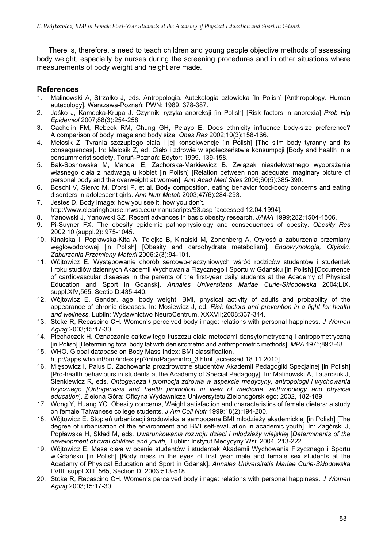There is, therefore, a need to teach children and young people objective methods of assessing body weight, especially by nurses during the screening procedures and in other situations where measurements of body weight and height are made.

# References

- 1. Malinowski A, Strzałko J, eds. Antropologia. Autekologia człowieka [In Polish] [Anthropology. Human autecology]. Warszawa-Poznań: PWN; 1989, 378-387.
- 2. Jaśko J, Kamecka-Krupa J. Czynniki ryzyka anoreksii [in Polish] [Risk factors in anorexia] Prob Hig Epidemiol 2007;88(3):254-258.
- 3. Cachelin FM, Rebeck RM, Chung GH, Pelayo E. Does ethnicity influence body-size preference? A comparison of body image and body size. Obes Res 2002;10(3):158-166.
- 4. Melosik Z. Tyrania szczupłego ciała i jej konsekwencje [in Polish] [The slim body tyranny and its consequences]. In: Melosik Z, ed. Ciało i zdrowie w społeczeństwie konsumpcji [Body and health in a consummerist society. Toruń-Poznań: Edytor; 1999, 139-158.
- 5. Bąk-Sosnowska M, Mandal E, Zachorska-Markiewicz B. Związek nieadekwatnego wyobrażenia własnego ciała z nadwagą u kobiet [in Polish] [Relation between non adequate imaginary picture of personal body and the overweight at women]. Ann Acad Med Siles 2006;60(5):385-390.
- 6. Boschi V, Siervo M, D'orsi P, et al. Body composition, eating behavior food-body concerns and eating disorders in adolescent girls. Ann Nutr Metab 2003;47(6):284-293.
- 7. Jestes D. Body image: how you see it, how you don't. http://www.clearinghouse.mwsc.edu/manuscripts/93.asp [accessed 12.04.1994].
- 8. Yanowski J, Yanowski SZ. Recent advances in basic obesity research. JAMA 1999;282:1504-1506.
- 9. Pi-Suyner FX. The obesity epidemic pathophysiology and consequences of obesity. Obesity Res 2002;10 (suppl.2): 975-1045.
- 10. Kinalska I, Popławska-Kita A, Telejko B, Kinalski M, Zonenberg A, Otyłość a zaburzenia przemiany węglowodorowej [in Polish] [Obesity and carbohydrate metabolism]. Endokrynologia, Otyłość, Zaburzenia Przemiany Materii 2006;2(3):94-101.
- 11. Wójtowicz E. Występowanie chorób sercowo-naczyniowych wśród rodziców studentów i studentek I roku studiów dziennych Akademii Wychowania Fizycznego i Sportu w Gdańsku [in Polish] [Occurrence of cardiovascular diseases in the parents of the first-year daily students at the Academy of Physical Education and Sport in Gdansk]. Annales Universitatis Mariae Curie-Skłodowska 2004;LIX, suppl.XIV,565, Sectio D:435-440.
- 12. Wójtowicz E. Gender, age, body weight, BMI, physical activity of adults and probability of the appearance of chronic diseases. In: Mosiewicz J, ed. Risk factors and prevention in a fight for health and wellness. Lublin: Wydawnictwo NeuroCentrum, XXXVII;2008:337-344.
- 13. Stoke R, Recascino CH. Women's perceived body image: relations with personal happiness. J Women Aging 2003;15:17-30.
- 14. Piechaczek H. Oznaczanie całkowitego tłuszczu ciała metodami densytometryczną i antropometryczną [in Polish] [Determining total body fat with denisitometric and anthropometric methods]. MPA 1975;89:3-48.
- 15. WHO. Global database on Body Mass Index: BMI classification, http://apps.who.int/bmi/index.jsp?introPage=intro\_3.html [accessed 18.11.2010]
- 16. Mięsowicz I, Palus D. Zachowania prozdrowotne studentów Akademii Pedagogiki Specjalnej [in Polish] [Pro-health behaviours in students at the Academy of Special Pedagogy]. In: Malinowski A, Tatarczuk J, Sienkiewicz R, eds. Ontogeneza i promocja zdrowia w aspekcie medycyny, antropologii i wychowania fizycznego [Ontogenesis and health promotion in view of medicine, anthropology and physical education]. Zielona Góra: Oficyna Wydawnicza Uniwersytetu Zielonogórskiego; 2002, 182-189.
- 17. Wong Y, Huang YC. Obesity concerns, Weight satisfaction and characteristics of female dieters: a study on female Taiwanese college students. J Am Coll Nutr 1999;18(2):194-200.
- 18. Wójtowicz E. Stopień urbanizacji środowiska a samoocena BMI młodzieży akademickiej [in Polish] [The degree of urbanisation of the environment and BMI self-evaluation in academic youth]. In: Zagórski J, Popławska H, Skład M, eds. Uwarunkowania rozwoju dzieci i młodzieży wiejskiej [Determinants of the development of rural children and youth]. Lublin: Instytut Medycyny Wsi; 2004, 213-222.
- 19. Wójtowicz E. Masa ciała w ocenie studentów i studentek Akademii Wychowania Fizycznego i Sportu w Gdańsku [in Polish] [Body mass in the eyes of first year male and female sex students at the Academy of Physical Education and Sport in Gdansk]. Annales Universitatis Mariae Curie-Skłodowska LVIII, suppl.XIII, 565, Section D, 2003:513-518.
- 20. Stoke R, Recascino CH. Women's perceived body image: relations with personal happiness. J Women Aging 2003;15:17-30.